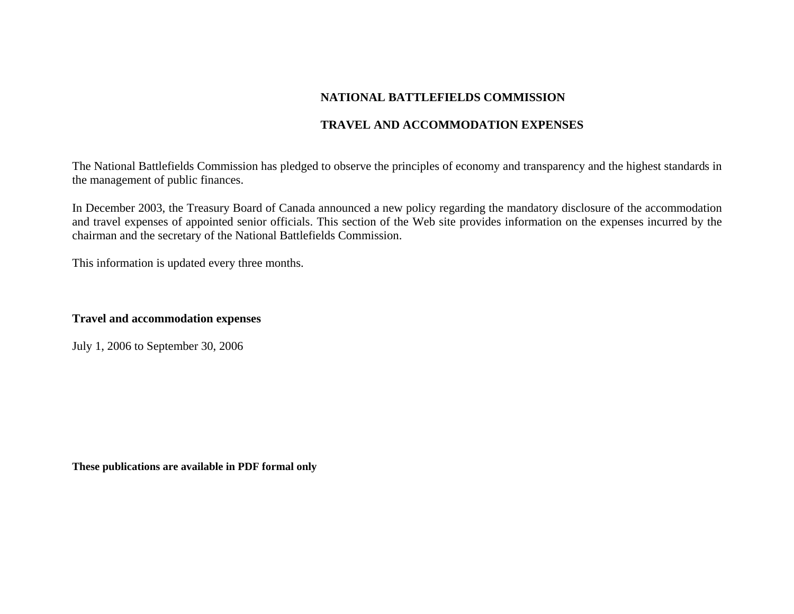# **NATIONAL BATTLEFIELDS COMMISSION**

## **TRAVEL AND ACCOMMODATION EXPENSES**

The National Battlefields Commission has pledged to observe the principles of economy and transparency and the highest standards in the management of public finances.

In December 2003, the Treasury Board of Canada announced a new policy regarding the mandatory disclosure of the accommodation and travel expenses of appointed senior officials. This section of the Web site provides information on the expenses incurred by the chairman and the secretary of the National Battlefields Commission.

This information is updated every three months.

## **Travel and accommodation expenses**

July 1, 2006 to September 30, 2006

**These publications are available in PDF formal only**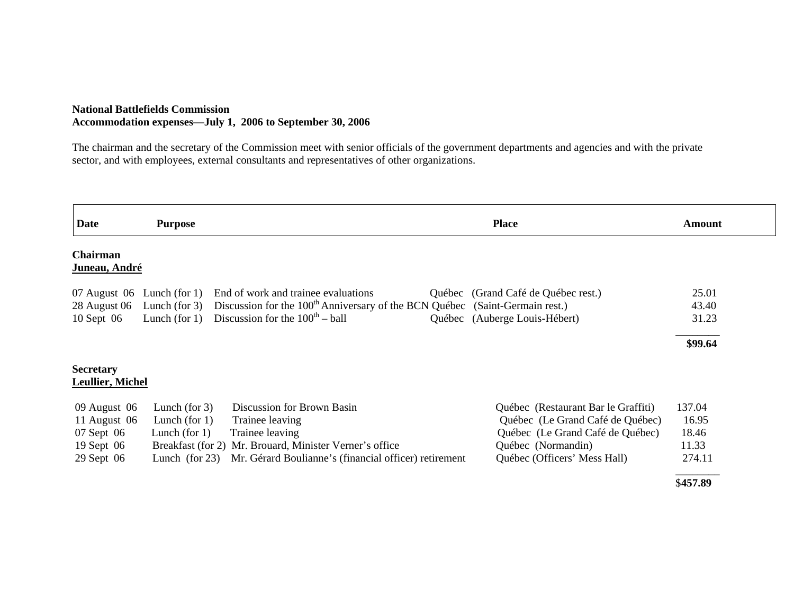### **National Battlefields Commission Accommodation expenses—July 1, 2006 to September 30, 2006**

The chairman and the secretary of the Commission meet with senior officials of the government departments and agencies and with the private sector, and with employees, external consultants and representatives of other organizations.

| <b>Date</b>             | <b>Purpose</b>    |                                                                                          |  | <b>Place</b>                        | Amount   |
|-------------------------|-------------------|------------------------------------------------------------------------------------------|--|-------------------------------------|----------|
| Chairman                |                   |                                                                                          |  |                                     |          |
| Juneau, André           |                   |                                                                                          |  |                                     |          |
| 07 August 06            | Lunch (for $1$ )  | End of work and trainee evaluations                                                      |  | Québec (Grand Café de Québec rest.) | 25.01    |
| 28 August 06            | Lunch (for $3$ )  | Discussion for the 100 <sup>th</sup> Anniversary of the BCN Québec (Saint-Germain rest.) |  |                                     | 43.40    |
| 10 Sept 06              | Lunch (for $1$ )  | Discussion for the $100th – ball$                                                        |  | Québec (Auberge Louis-Hébert)       | 31.23    |
|                         |                   |                                                                                          |  |                                     | \$99.64  |
| <b>Secretary</b>        |                   |                                                                                          |  |                                     |          |
| <b>Leullier, Michel</b> |                   |                                                                                          |  |                                     |          |
| 09 August 06            | Lunch (for $3$ )  | <b>Discussion for Brown Basin</b>                                                        |  | Québec (Restaurant Bar le Graffiti) | 137.04   |
| 11 August 06            | Lunch (for $1$ )  | Trainee leaving                                                                          |  | Québec (Le Grand Café de Québec)    | 16.95    |
| 07 Sept 06              | Lunch (for $1$ )  | Trainee leaving                                                                          |  | Québec (Le Grand Café de Québec)    | 18.46    |
| 19 Sept 06              |                   | Breakfast (for 2) Mr. Brouard, Minister Verner's office                                  |  | Québec (Normandin)                  | 11.33    |
| 29 Sept 06              | Lunch (for $23$ ) | Mr. Gérard Boulianne's (financial officer) retirement                                    |  | Québec (Officers' Mess Hall)        | 274.11   |
|                         |                   |                                                                                          |  |                                     | \$457.89 |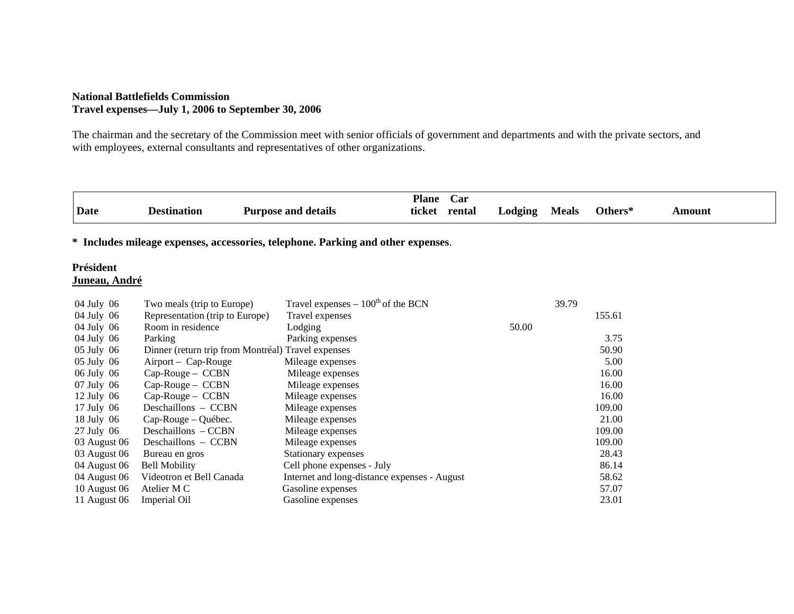#### **National Battlefields Commission Travel expenses—July 1, 2006 to September 30, 2006**

The chairman and the secretary of the Commission meet with senior officials of government and departments and with the private sectors, and with employees, external consultants and representatives of other organizations.

| Date                              | <b>Destination</b>                                 | <b>Purpose and details</b>                                                       | <b>Plane</b><br>ticket | Car<br>rental | Lodging | <b>Meals</b> | Others* | <b>Amount</b> |
|-----------------------------------|----------------------------------------------------|----------------------------------------------------------------------------------|------------------------|---------------|---------|--------------|---------|---------------|
|                                   |                                                    | * Includes mileage expenses, accessories, telephone. Parking and other expenses. |                        |               |         |              |         |               |
| Président<br><u>Juneau, André</u> |                                                    |                                                                                  |                        |               |         |              |         |               |
| 04 July 06                        | Two meals (trip to Europe)                         | Travel expenses $-100^{\text{th}}$ of the BCN                                    |                        |               |         | 39.79        |         |               |
| 04 July 06                        | Representation (trip to Europe)                    | Travel expenses                                                                  |                        |               |         |              | 155.61  |               |
| 04 July 06                        | Room in residence                                  | Lodging                                                                          |                        |               | 50.00   |              |         |               |
| 04 July 06                        | Parking                                            | Parking expenses                                                                 |                        |               |         |              | 3.75    |               |
| 05 July 06                        | Dinner (return trip from Montréal) Travel expenses |                                                                                  |                        |               |         |              | 50.90   |               |
| 05 July 06                        | Airport – Cap-Rouge                                | Mileage expenses                                                                 |                        |               |         |              | 5.00    |               |
| 06 July 06                        | $Cap-Rouge - CCBN$                                 | Mileage expenses                                                                 |                        |               |         |              | 16.00   |               |
| 07 July 06                        | $Cap-Rouge - CCBN$                                 | Mileage expenses                                                                 |                        |               |         |              | 16.00   |               |
| $12$ July 06                      | $Cap-Rouge - CCBN$                                 | Mileage expenses                                                                 |                        |               |         |              | 16.00   |               |
| 17 July 06                        | Deschaillons - CCBN                                | Mileage expenses                                                                 |                        |               |         |              | 109.00  |               |
| 18 July 06                        | Cap-Rouge – Québec.                                | Mileage expenses                                                                 |                        |               |         |              | 21.00   |               |
| $27$ July 06                      | Deschaillons – CCBN                                | Mileage expenses                                                                 |                        |               |         |              | 109.00  |               |
| 03 August 06                      | Deschaillons - CCBN                                | Mileage expenses                                                                 |                        |               |         |              | 109.00  |               |
| 03 August 06                      | Bureau en gros                                     | Stationary expenses                                                              |                        |               |         |              | 28.43   |               |
| 04 August 06                      | <b>Bell Mobility</b>                               | Cell phone expenses - July                                                       |                        |               |         |              | 86.14   |               |
| 04 August 06                      | Videotron et Bell Canada                           | Internet and long-distance expenses - August                                     |                        |               |         |              | 58.62   |               |
| 10 August 06                      | Atelier M C                                        | Gasoline expenses                                                                |                        |               |         |              | 57.07   |               |
| 11 August 06                      | <b>Imperial Oil</b>                                | Gasoline expenses                                                                |                        |               |         |              | 23.01   |               |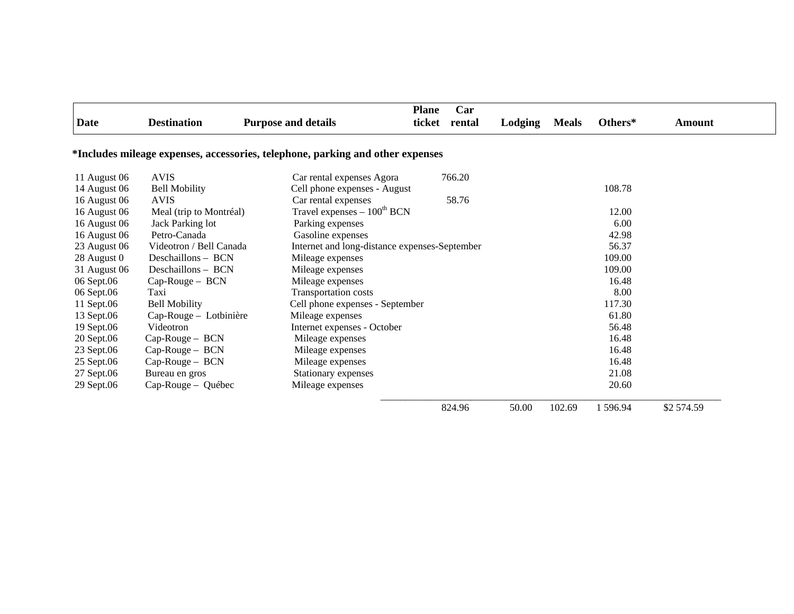| Date                                                                           | <b>Destination</b>      | <b>Purpose and details</b>                    | <b>Plane</b><br>ticket | Car<br>rental | Lodging | <b>Meals</b> | Others* | Amount     |  |  |
|--------------------------------------------------------------------------------|-------------------------|-----------------------------------------------|------------------------|---------------|---------|--------------|---------|------------|--|--|
| *Includes mileage expenses, accessories, telephone, parking and other expenses |                         |                                               |                        |               |         |              |         |            |  |  |
| 11 August 06                                                                   | <b>AVIS</b>             | Car rental expenses Agora                     |                        | 766.20        |         |              |         |            |  |  |
| 14 August 06                                                                   | <b>Bell Mobility</b>    | Cell phone expenses - August                  |                        |               |         |              | 108.78  |            |  |  |
| 16 August 06                                                                   | <b>AVIS</b>             | Car rental expenses                           |                        | 58.76         |         |              |         |            |  |  |
| 16 August 06                                                                   | Meal (trip to Montréal) | Travel expenses $-100^{th}$ BCN               |                        |               |         |              | 12.00   |            |  |  |
| 16 August 06                                                                   | Jack Parking lot        | Parking expenses                              |                        |               |         |              | 6.00    |            |  |  |
| 16 August 06                                                                   | Petro-Canada            | Gasoline expenses                             |                        |               |         |              | 42.98   |            |  |  |
| 23 August 06                                                                   | Videotron / Bell Canada | Internet and long-distance expenses-September |                        |               |         |              | 56.37   |            |  |  |
| 28 August 0                                                                    | Deschaillons - BCN      | Mileage expenses                              |                        |               |         |              | 109.00  |            |  |  |
| 31 August 06                                                                   | Deschaillons - BCN      | Mileage expenses                              |                        |               |         |              | 109.00  |            |  |  |
| 06 Sept.06                                                                     | Cap-Rouge - BCN         | Mileage expenses                              |                        |               |         |              | 16.48   |            |  |  |
| 06 Sept.06                                                                     | Taxi                    | Transportation costs                          |                        |               |         |              | 8.00    |            |  |  |
| 11 Sept.06                                                                     | <b>Bell Mobility</b>    | Cell phone expenses - September               |                        |               |         |              | 117.30  |            |  |  |
| 13 Sept.06                                                                     | Cap-Rouge - Lotbinière  | Mileage expenses                              |                        |               |         |              | 61.80   |            |  |  |
| 19 Sept.06                                                                     | Videotron               | Internet expenses - October                   |                        |               |         |              | 56.48   |            |  |  |
| 20 Sept.06                                                                     | $Cap-Rouge - BCN$       | Mileage expenses                              |                        |               |         |              | 16.48   |            |  |  |
| 23 Sept.06                                                                     | Cap-Rouge - BCN         | Mileage expenses                              |                        |               |         |              | 16.48   |            |  |  |
| 25 Sept.06                                                                     | Cap-Rouge - BCN         | Mileage expenses                              |                        |               |         |              | 16.48   |            |  |  |
| 27 Sept.06                                                                     | Bureau en gros          | Stationary expenses                           |                        |               |         |              | 21.08   |            |  |  |
| 29 Sept.06                                                                     | Cap-Rouge - Québec      | Mileage expenses                              |                        |               |         |              | 20.60   |            |  |  |
|                                                                                |                         |                                               |                        | 824.96        | 50.00   | 102.69       | 1596.94 | \$2 574.59 |  |  |